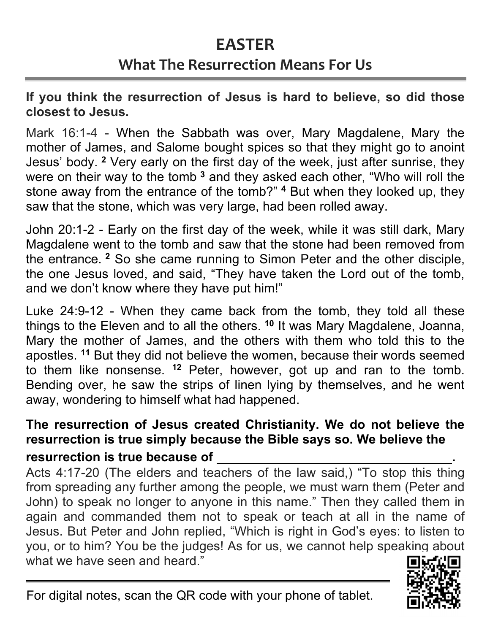# **EASTER**

# **What The Resurrection Means For Us**

**If you think the resurrection of Jesus is hard to believe, so did those closest to Jesus.**

Mark 16:1-4 - When the Sabbath was over, Mary Magdalene, Mary the mother of James, and Salome bought spices so that they might go to anoint Jesus' body. **<sup>2</sup>** Very early on the first day of the week, just after sunrise, they were on their way to the tomb<sup>3</sup> and they asked each other, "Who will roll the stone away from the entrance of the tomb?" **<sup>4</sup>** But when they looked up, they saw that the stone, which was very large, had been rolled away.

John 20:1-2 - Early on the first day of the week, while it was still dark, Mary Magdalene went to the tomb and saw that the stone had been removed from the entrance. **<sup>2</sup>** So she came running to Simon Peter and the other disciple, the one Jesus loved, and said, "They have taken the Lord out of the tomb, and we don't know where they have put him!"

Luke 24:9-12 - When they came back from the tomb, they told all these things to the Eleven and to all the others. **<sup>10</sup>** It was Mary Magdalene, Joanna, Mary the mother of James, and the others with them who told this to the apostles. **<sup>11</sup>** But they did not believe the women, because their words seemed to them like nonsense. **<sup>12</sup>** Peter, however, got up and ran to the tomb. Bending over, he saw the strips of linen lying by themselves, and he went away, wondering to himself what had happened.

### **The resurrection of Jesus created Christianity. We do not believe the resurrection is true simply because the Bible says so. We believe the resurrection is true because of .**

Acts 4:17-20 (The elders and teachers of the law said,) "To stop this thing from spreading any further among the people, we must warn them (Peter and John) to speak no longer to anyone in this name." Then they called them in again and commanded them not to speak or teach at all in the name of Jesus. But Peter and John replied, "Which is right in God's eyes: to listen to you, or to him? You be the judges! As for us, we cannot help speaking about what we have seen and heard."

For digital notes, scan the QR code with your phone of tablet.